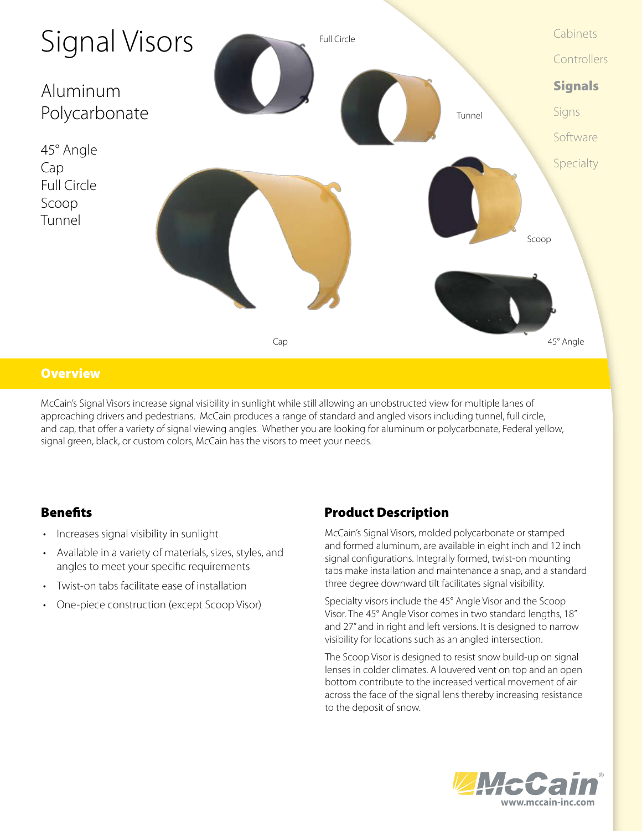

### **Overview**

McCain's Signal Visors increase signal visibility in sunlight while still allowing an unobstructed view for multiple lanes of approaching drivers and pedestrians. McCain produces a range of standard and angled visors including tunnel, full circle, and cap, that offer a variety of signal viewing angles. Whether you are looking for aluminum or polycarbonate, Federal yellow, signal green, black, or custom colors, McCain has the visors to meet your needs.

- Increases signal visibility in sunlight
- • Available in a variety of materials, sizes, styles, and angles to meet your specific requirements
- Twist-on tabs facilitate ease of installation
- One-piece construction (except Scoop Visor)

## **Benefits** Product Description

McCain's Signal Visors, molded polycarbonate or stamped and formed aluminum, are available in eight inch and 12 inch signal configurations. Integrally formed, twist-on mounting tabs make installation and maintenance a snap, and a standard three degree downward tilt facilitates signal visibility.

Specialty visors include the 45° Angle Visor and the Scoop Visor. The 45° Angle Visor comes in two standard lengths, 18" and 27" and in right and left versions. It is designed to narrow visibility for locations such as an angled intersection.

The Scoop Visor is designed to resist snow build-up on signal lenses in colder climates. A louvered vent on top and an open bottom contribute to the increased vertical movement of air across the face of the signal lens thereby increasing resistance to the deposit of snow.